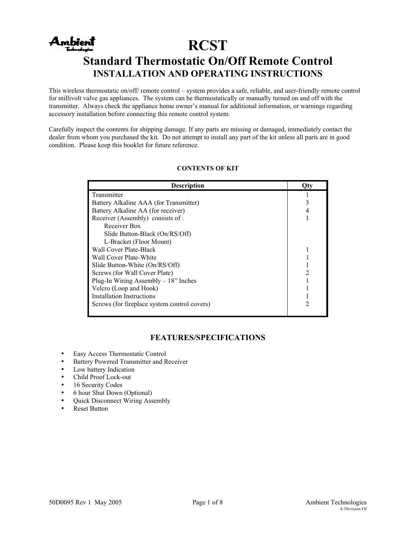# Ambient **RCST Standard Thermostatic On/Off Remote Control INSTALLATION AND OPERATING INSTRUCTIONS**

This wireless thermostatic on/off/ remote control – system provides a safe, reliable, and user-friendly remote control for millivolt valve gas appliances. The system can be thermostatically or manually turned on and off with the transmitter. Always check the appliance home owner's manual for additional information, or warnings regarding accessory installation before connecting this remote control system.

Carefully inspect the contents for shipping damage. If any parts are missing or damaged, immediately contact the dealer from whom you purchased the kit. Do not attempt to install any part of the kit unless all parts are in good condition. Please keep this booklet for future reference.

| <b>Description</b>                           |  |
|----------------------------------------------|--|
| Transmitter                                  |  |
| Battery Alkaline AAA (for Transmitter)       |  |
| Battery Alkaline AA (for receiver)           |  |
| Receiver (Assembly) consists of:             |  |
| Receiver Box                                 |  |
| Slide Button-Black (On/RS/Off)               |  |
| L-Bracket (Floor Mount)                      |  |
| Wall Cover Plate-Black                       |  |
| Wall Cover Plate-White                       |  |
| Slide Button-White (On/RS/Off)               |  |
| Screws (for Wall Cover Plate)                |  |
| Plug-In Wiring Assembly $-18$ " Inches       |  |
| Velcro (Loop and Hook)                       |  |
| <b>Installation Instructions</b>             |  |
| Screws (for fireplace system control covers) |  |

## **CONTENTS OF KIT**

## **FEATURES/SPECIFICATIONS**

- Easy Access Thermostatic Control
- Battery Powered Transmitter and Receiver
- Low battery Indication
- Child Proof Lock-out
- 16 Security Codes
- 6 hour Shut Down (Optional)<br>• Ouick Disconnect Wiring Ass
- Quick Disconnect Wiring Assembly
- Reset Button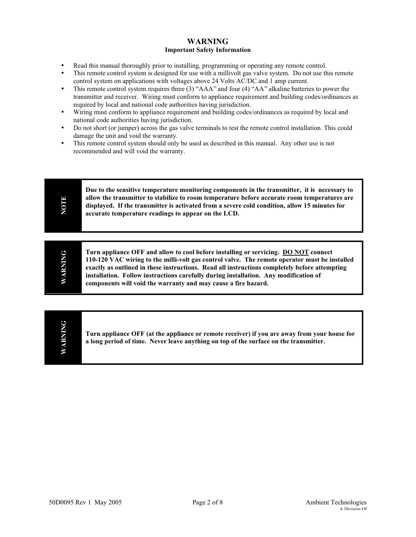## **WARNING Important Safety Information**

- Read this manual thoroughly prior to installing, programming or operating any remote control.<br>• This remote control system is designed for use with a millivolt gas valve system. Do not use the
- This remote control system is designed for use with a millivolt gas valve system. Do not use this remote control system on applications with voltages above 24 Volts AC/DC and 1 amp current.
- This remote control system requires three (3) "AAA" and four (4) "AA" alkaline batteries to power the transmitter and receiver. Wiring must conform to appliance requirement and building codes/ordinances as required by local and national code authorities having jurisdiction.
- Wiring must conform to appliance requirement and building codes/ordinances as required by local and national code authorities having jurisdiction.
- Do not short (or jumper) across the gas valve terminals to test the remote control installation. This could damage the unit and void the warranty.
- This remote control system should only be used as described in this manual. Any other use is not recommended and will void the warranty.

|--|

| ↺<br>⋍ | Turn appliance OFF and allow to cool before installing or servicing. DO NOT connect<br>110-120 VAC wiring to the milli-volt gas control valve. The remote operator must be installed<br>exactly as outlined in these instructions. Read all instructions completely before attempting<br>installation. Follow instructions carefully during installation. Any modification of<br>components will void the warranty and may cause a fire hazard. |
|--------|-------------------------------------------------------------------------------------------------------------------------------------------------------------------------------------------------------------------------------------------------------------------------------------------------------------------------------------------------------------------------------------------------------------------------------------------------|
|--------|-------------------------------------------------------------------------------------------------------------------------------------------------------------------------------------------------------------------------------------------------------------------------------------------------------------------------------------------------------------------------------------------------------------------------------------------------|

**WARNING WARNING**

**Turn appliance OFF (at the appliance or remote receiver) if you are away from your house for a long period of time. Never leave anything on top of the surface on the transmitter.**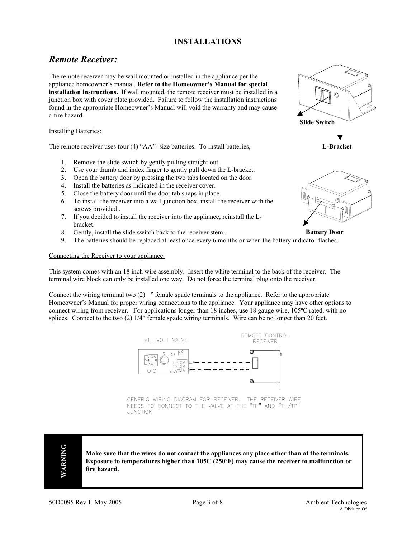## **INSTALLATIONS**

# *Remote Receiver:*

The remote receiver may be wall mounted or installed in the appliance per the appliance homeowner's manual. **Refer to the Homeowner's Manual for special installation instructions.** If wall mounted, the remote receiver must be installed in a junction box with cover plate provided. Failure to follow the installation instructions found in the appropriate Homeowner's Manual will void the warranty and may cause a fire hazard.

#### Installing Batteries:

The remote receiver uses four (4) "AA"- size batteries. To install batteries,

- 1. Remove the slide switch by gently pulling straight out.
- 2. Use your thumb and index finger to gently pull down the L-bracket.
- 3. Open the battery door by pressing the two tabs located on the door.
- 4. Install the batteries as indicated in the receiver cover.
- 5. Close the battery door until the door tab snaps in place.
- 6. To install the receiver into a wall junction box, install the receiver with the screws provided .
- 7. If you decided to install the receiver into the appliance, reinstall the Lbracket.
- 8. Gently, install the slide switch back to the receiver stem.
- 9. The batteries should be replaced at least once every 6 months or when the battery indicator flashes.

#### Connecting the Receiver to your appliance:

This system comes with an 18 inch wire assembly. Insert the white terminal to the back of the receiver. The terminal wire block can only be installed one way. Do not force the terminal plug onto the receiver.

Connect the wiring terminal two (2) " female spade terminals to the appliance. Refer to the appropriate Homeowner's Manual for proper wiring connections to the appliance. Your appliance may have other options to connect wiring from receiver. For applications longer than 18 inches, use 18 gauge wire, 105ºC rated, with no splices. Connect to the two (2) 1/4" female spade wiring terminals. Wire can be no longer than 20 feet.



GENERIC WIRING DIAGRAM FOR RECEIVER. THE RECEIVER WIRE NEEDS TO CONNECT TO THE VALVE AT THE "TH" AND "TH/TP" **JUNCTION** 



**Make sure that the wires do not contact the appliances any place other than at the terminals. Exposure to temperatures higher than 105C (250ºF) may cause the receiver to malfunction or fire hazard.**



**L-Bracket**



**Battery Door**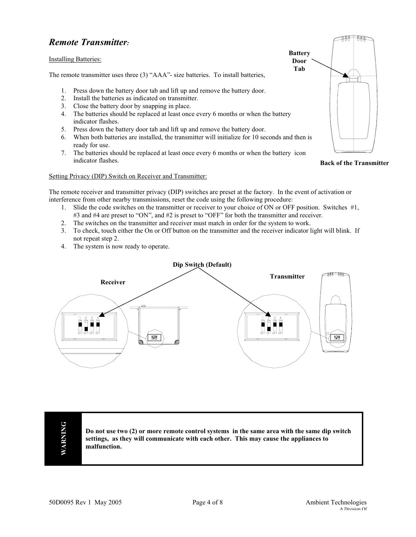# *Remote Transmitter:*

#### Installing Batteries:

The remote transmitter uses three (3) "AAA"- size batteries. To install batteries,

- 1. Press down the battery door tab and lift up and remove the battery door.
- 2. Install the batteries as indicated on transmitter.
- 3. Close the battery door by snapping in place.
- 4. The batteries should be replaced at least once every 6 months or when the battery indicator flashes.
- 5. Press down the battery door tab and lift up and remove the battery door.
- 6. When both batteries are installed, the transmitter will initialize for 10 seconds and then is ready for use.
- 7. The batteries should be replaced at least once every 6 months or when the battery icon indicator flashes.

Setting Privacy (DIP) Switch on Receiver and Transmitter:

The remote receiver and transmitter privacy (DIP) switches are preset at the factory. In the event of activation or interference from other nearby transmissions, reset the code using the following procedure:

- 1. Slide the code switches on the transmitter or receiver to your choice of ON or OFF position. Switches #1, #3 and #4 are preset to "ON", and #2 is preset to "OFF" for both the transmitter and receiver.
- 2. The switches on the transmitter and receiver must match in order for the system to work.
- 3. To check, touch either the On or Off button on the transmitter and the receiver indicator light will blink. If not repeat step 2.
- 4. The system is now ready to operate.



**WARNING WARNING**

**Do not use two (2) or more remote control systems in the same area with the same dip switch settings, as they will communicate with each other. This may cause the appliances to malfunction.**



**Back of the Transmitter**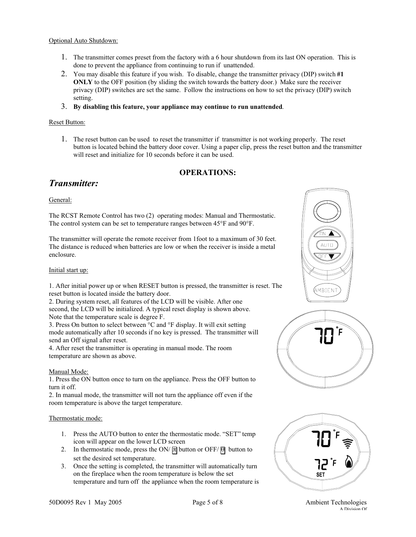#### Optional Auto Shutdown:

- 1. The transmitter comes preset from the factory with a 6 hour shutdown from its last ON operation. This is done to prevent the appliance from continuing to run if unattended.
- 2. You may disable this feature if you wish. To disable, change the transmitter privacy (DIP) switch **#1 ONLY** to the OFF position (by sliding the switch towards the battery door.) Make sure the receiver privacy (DIP) switches are set the same. Follow the instructions on how to set the privacy (DIP) switch setting.
- 3. **By disabling this feature, your appliance may continue to run unattended**.

### Reset Button:

1. The reset button can be used to reset the transmitter if transmitter is not working properly. The reset button is located behind the battery door cover. Using a paper clip, press the reset button and the transmitter will reset and initialize for 10 seconds before it can be used.

## **OPERATIONS:**

## *Transmitter:*

## General:

The RCST Remote Control has two (2) operating modes: Manual and Thermostatic. The control system can be set to temperature ranges between 45°F and 90°F.

The transmitter will operate the remote receiver from 1foot to a maximum of 30 feet. The distance is reduced when batteries are low or when the receiver is inside a metal enclosure.

### Initial start up:

1. After initial power up or when RESET button is pressed, the transmitter is reset. The reset button is located inside the battery door.

2. During system reset, all features of the LCD will be visible. After one second, the LCD will be initialized. A typical reset display is shown above. Note that the temperature scale is degree F.

3. Press On button to select between °C and °F display. It will exit setting mode automatically after 10 seconds if no key is pressed. The transmitter will send an Off signal after reset.

4. After reset the transmitter is operating in manual mode. The room temperature are shown as above.

### Manual Mode:

1. Press the ON button once to turn on the appliance. Press the OFF button to turn it off.

2. In manual mode, the transmitter will not turn the appliance off even if the room temperature is above the target temperature.

### Thermostatic mode:

- 1. Press the AUTO button to enter the thermostatic mode. "SET" temp icon will appear on the lower LCD screen
- 2. In thermostatic mode, press the ON/  $\overline{m}$  button or OFF/ $\overline{\theta}$  button to set the desired set temperature.
- 3. Once the setting is completed, the transmitter will automatically turn on the fireplace when the room temperature is below the set temperature and turn off the appliance when the room temperature is







A Division Of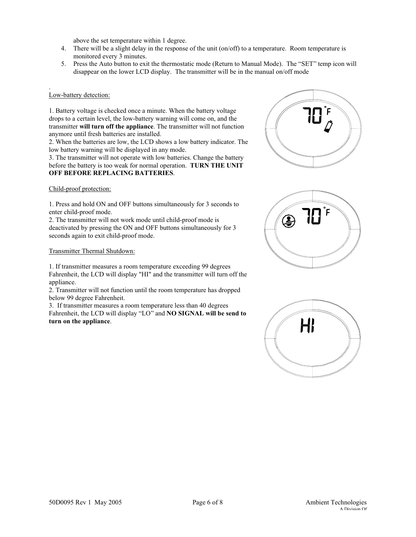above the set temperature within 1 degree.

- 4. There will be a slight delay in the response of the unit (on/off) to a temperature. Room temperature is monitored every 3 minutes.
- 5. Press the Auto button to exit the thermostatic mode (Return to Manual Mode). The "SET" temp icon will disappear on the lower LCD display. The transmitter will be in the manual on/off mode

#### . Low-battery detection:

1. Battery voltage is checked once a minute. When the battery voltage drops to a certain level, the low-battery warning will come on, and the transmitter **will turn off the appliance**. The transmitter will not function anymore until fresh batteries are installed.

2. When the batteries are low, the LCD shows a low battery indicator. The low battery warning will be displayed in any mode.

3. The transmitter will not operate with low batteries. Change the battery before the battery is too weak for normal operation. **TURN THE UNIT OFF BEFORE REPLACING BATTERIES**.

#### Child-proof protection:

1. Press and hold ON and OFF buttons simultaneously for 3 seconds to enter child-proof mode.

2. The transmitter will not work mode until child-proof mode is deactivated by pressing the ON and OFF buttons simultaneously for 3 seconds again to exit child-proof mode.

#### Transmitter Thermal Shutdown:

1. If transmitter measures a room temperature exceeding 99 degrees Fahrenheit, the LCD will display "HI" and the transmitter will turn off the appliance.

2. Transmitter will not function until the room temperature has dropped below 99 degree Fahrenheit.

3. If transmitter measures a room temperature less than 40 degrees Fahrenheit, the LCD will display "LO" and **NO SIGNAL will be send to turn on the appliance**.





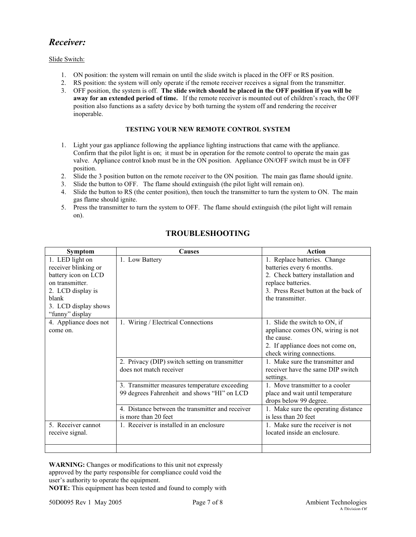# *Receiver:*

## Slide Switch:

- 1. ON position: the system will remain on until the slide switch is placed in the OFF or RS position.
- 2. RS position: the system will only operate if the remote receiver receives a signal from the transmitter.
- 3. OFF position, the system is off. **The slide switch should be placed in the OFF position if you will be away for an extended period of time.** If the remote receiver is mounted out of children's reach, the OFF position also functions as a safety device by both turning the system off and rendering the receiver inoperable.

#### **TESTING YOUR NEW REMOTE CONTROL SYSTEM**

- 1. Light your gas appliance following the appliance lighting instructions that came with the appliance. Confirm that the pilot light is on; it must be in operation for the remote control to operate the main gas valve. Appliance control knob must be in the ON position. Appliance ON/OFF switch must be in OFF position.
- 2. Slide the 3 position button on the remote receiver to the ON position. The main gas flame should ignite.
- 3. Slide the button to OFF. The flame should extinguish (the pilot light will remain on).
- 4. Slide the button to RS (the center position), then touch the transmitter to turn the system to ON. The main gas flame should ignite.
- 5. Press the transmitter to turn the system to OFF. The flame should extinguish (the pilot light will remain on).

| <b>Symptom</b>        | <b>Causes</b>                                    | Action                               |
|-----------------------|--------------------------------------------------|--------------------------------------|
| 1. LED light on       | 1. Low Battery                                   | 1. Replace batteries. Change         |
| receiver blinking or  |                                                  | batteries every 6 months.            |
| battery icon on LCD   |                                                  | 2. Check battery installation and    |
| on transmitter.       |                                                  | replace batteries.                   |
| 2. LCD display is     |                                                  | 3. Press Reset button at the back of |
| blank                 |                                                  | the transmitter.                     |
| 3. LCD display shows  |                                                  |                                      |
| "funny" display       |                                                  |                                      |
| 4. Appliance does not | 1. Wiring / Electrical Connections               | 1. Slide the switch to ON, if        |
| come on.              |                                                  | appliance comes ON, wiring is not    |
|                       |                                                  | the cause.                           |
|                       |                                                  | 2. If appliance does not come on,    |
|                       |                                                  | check wiring connections.            |
|                       | 2. Privacy (DIP) switch setting on transmitter   | 1. Make sure the transmitter and     |
|                       | does not match receiver                          | receiver have the same DIP switch    |
|                       |                                                  | settings.                            |
|                       | 3. Transmitter measures temperature exceeding    | 1. Move transmitter to a cooler      |
|                       | 99 degrees Fahrenheit and shows "HI" on LCD      | place and wait until temperature     |
|                       |                                                  | drops below 99 degree.               |
|                       | 4. Distance between the transmitter and receiver | 1. Make sure the operating distance  |
|                       | is more than 20 feet                             | is less than 20 feet                 |
| 5. Receiver cannot    | 1. Receiver is installed in an enclosure         | 1. Make sure the receiver is not     |
| receive signal.       |                                                  | located inside an enclosure.         |
|                       |                                                  |                                      |
|                       |                                                  |                                      |

## **TROUBLESHOOTING**

**WARNING:** Changes or modifications to this unit not expressly approved by the party responsible for compliance could void the user's authority to operate the equipment.

**NOTE:** This equipment has been tested and found to comply with